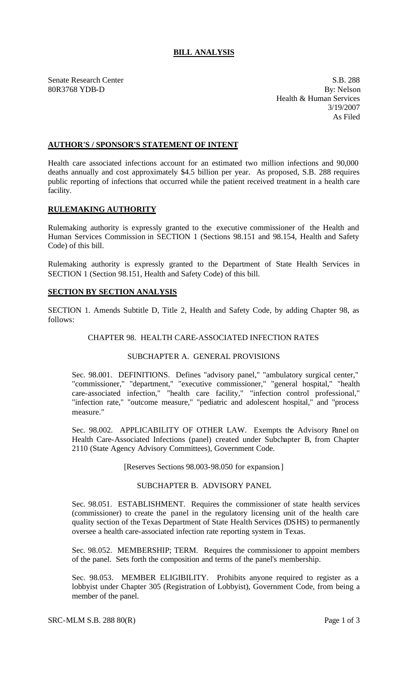# **BILL ANALYSIS**

Senate Research Center S.B. 288

80R3768 YDB-D By: Nelson Health & Human Services 3/19/2007 As Filed

# **AUTHOR'S / SPONSOR'S STATEMENT OF INTENT**

Health care associated infections account for an estimated two million infections and 90,000 deaths annually and cost approximately \$4.5 billion per year. As proposed, S.B. 288 requires public reporting of infections that occurred while the patient received treatment in a health care facility.

# **RULEMAKING AUTHORITY**

Rulemaking authority is expressly granted to the executive commissioner of the Health and Human Services Commission in SECTION 1 (Sections 98.151 and 98.154, Health and Safety Code) of this bill.

Rulemaking authority is expressly granted to the Department of State Health Services in SECTION 1 (Section 98.151, Health and Safety Code) of this bill.

#### **SECTION BY SECTION ANALYSIS**

SECTION 1. Amends Subtitle D, Title 2, Health and Safety Code, by adding Chapter 98, as follows:

# CHAPTER 98. HEALTH CARE-ASSOCIATED INFECTION RATES

# SUBCHAPTER A. GENERAL PROVISIONS

Sec. 98.001. DEFINITIONS. Defines "advisory panel," "ambulatory surgical center," "commissioner," "department," "executive commissioner," "general hospital," "health care-associated infection," "health care facility," "infection control professional," "infection rate," "outcome measure," "pediatric and adolescent hospital," and "process measure."

Sec. 98.002. APPLICABILITY OF OTHER LAW. Exempts the Advisory Panel on Health Care-Associated Infections (panel) created under Subchapter B, from Chapter 2110 (State Agency Advisory Committees), Government Code.

#### [Reserves Sections 98.003-98.050 for expansion.]

#### SUBCHAPTER B. ADVISORY PANEL

Sec. 98.051. ESTABLISHMENT. Requires the commissioner of state health services (commissioner) to create the panel in the regulatory licensing unit of the health care quality section of the Texas Department of State Health Services (DSHS) to permanently oversee a health care-associated infection rate reporting system in Texas.

Sec. 98.052. MEMBERSHIP; TERM. Requires the commissioner to appoint members of the panel. Sets forth the composition and terms of the panel's membership.

Sec. 98.053. MEMBER ELIGIBILITY. Prohibits anyone required to register as a lobbyist under Chapter 305 (Registration of Lobbyist), Government Code, from being a member of the panel.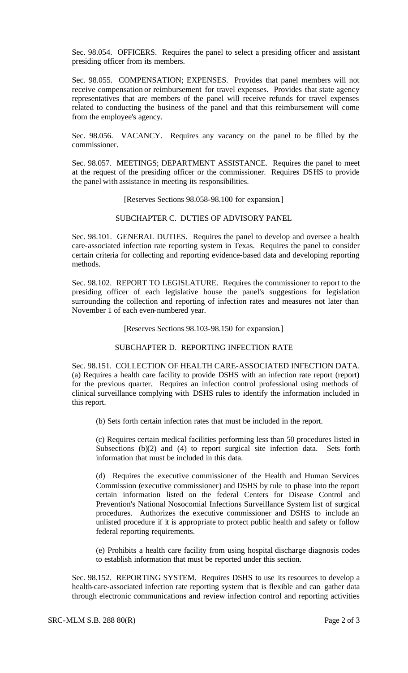Sec. 98.054. OFFICERS. Requires the panel to select a presiding officer and assistant presiding officer from its members.

Sec. 98.055. COMPENSATION; EXPENSES. Provides that panel members will not receive compensation or reimbursement for travel expenses. Provides that state agency representatives that are members of the panel will receive refunds for travel expenses related to conducting the business of the panel and that this reimbursement will come from the employee's agency.

Sec. 98.056. VACANCY. Requires any vacancy on the panel to be filled by the commissioner.

Sec. 98.057. MEETINGS; DEPARTMENT ASSISTANCE. Requires the panel to meet at the request of the presiding officer or the commissioner. Requires DSHS to provide the panel with assistance in meeting its responsibilities.

[Reserves Sections 98.058-98.100 for expansion.]

SUBCHAPTER C. DUTIES OF ADVISORY PANEL

Sec. 98.101. GENERAL DUTIES. Requires the panel to develop and oversee a health care-associated infection rate reporting system in Texas. Requires the panel to consider certain criteria for collecting and reporting evidence-based data and developing reporting methods.

Sec. 98.102. REPORT TO LEGISLATURE. Requires the commissioner to report to the presiding officer of each legislative house the panel's suggestions for legislation surrounding the collection and reporting of infection rates and measures not later than November 1 of each even-numbered year.

[Reserves Sections 98.103-98.150 for expansion.]

#### SUBCHAPTER D. REPORTING INFECTION RATE

Sec. 98.151. COLLECTION OF HEALTH CARE-ASSOCIATED INFECTION DATA. (a) Requires a health care facility to provide DSHS with an infection rate report (report) for the previous quarter. Requires an infection control professional using methods of clinical surveillance complying with DSHS rules to identify the information included in this report.

(b) Sets forth certain infection rates that must be included in the report.

(c) Requires certain medical facilities performing less than 50 procedures listed in Subsections (b)(2) and (4) to report surgical site infection data. Sets forth information that must be included in this data.

(d) Requires the executive commissioner of the Health and Human Services Commission (executive commissioner) and DSHS by rule to phase into the report certain information listed on the federal Centers for Disease Control and Prevention's National Nosocomial Infections Surveillance System list of surgical procedures. Authorizes the executive commissioner and DSHS to include an unlisted procedure if it is appropriate to protect public health and safety or follow federal reporting requirements.

(e) Prohibits a health care facility from using hospital discharge diagnosis codes to establish information that must be reported under this section.

Sec. 98.152. REPORTING SYSTEM. Requires DSHS to use its resources to develop a health-care-associated infection rate reporting system that is flexible and can gather data through electronic communications and review infection control and reporting activities